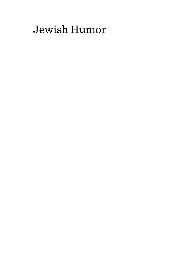# Jewish Humor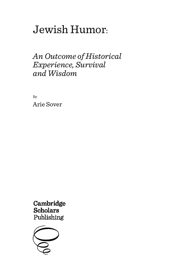# Jewish Humor:

# *An Outcome of Historical Experience, Survival and Wisdom*

By Arie Sover

Cambridge **Scholars** Publishing

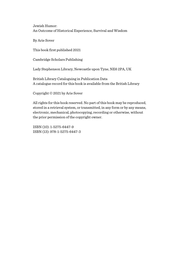By Arie Sover

This book first published 2021

Cambridge Scholars Publishing

Lady Stephenson Library, Newcastle upon Tyne, NE6 2PA, UK

British Library Cataloguing in Publication Data A catalogue record for this book is available from the British Library

Copyright © 2021 by Arie Sover

All rights for this book reserved. No part of this book may be reproduced, stored in a retrieval system, or transmitted, in any form or by any means, electronic, mechanical, photocopying, recording or otherwise, without the prior permission of the copyright owner.

ISBN (10): 1-5275-6447-9 ISBN (13): 978-1-5275-6447-3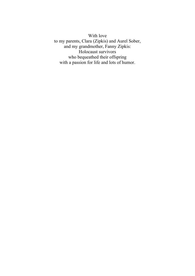With love to my parents, Clara (Zipkis) and Aurel Sober, and my grandmother, Fanny Zipkis: Holocaust survivors who bequeathed their offspring with a passion for life and lots of humor.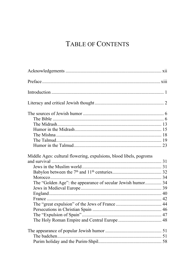# TABLE OF CONTENTS

| Middle Ages: cultural flowering, expulsions, blood libels, pogroms<br>The "Golden Age": the appearance of secular Jewish humor 34 |  |
|-----------------------------------------------------------------------------------------------------------------------------------|--|
|                                                                                                                                   |  |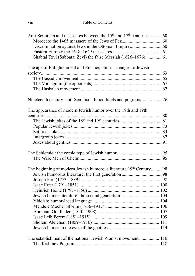| Anti-Semitism and massacres between the 15 <sup>th</sup> and 17 <sup>th</sup> centuries 60 |  |
|--------------------------------------------------------------------------------------------|--|
|                                                                                            |  |
|                                                                                            |  |
|                                                                                            |  |
| Shabtai Tzvi (Sabbatai Zevi) the false Messiah (1626–1676)  61                             |  |
| The age of Enlightenment and Emancipation-changes to Jewish                                |  |
|                                                                                            |  |
|                                                                                            |  |
|                                                                                            |  |
|                                                                                            |  |
| Nineteenth century: anti-Semitism, blood libels and pogroms 76                             |  |
| The appearance of modern Jewish humor over the 18th and 19th                               |  |
|                                                                                            |  |
|                                                                                            |  |
|                                                                                            |  |
|                                                                                            |  |
|                                                                                            |  |
|                                                                                            |  |
|                                                                                            |  |
|                                                                                            |  |
|                                                                                            |  |
| The beginning of modern Jewish humorous literature: 19th Century 98                        |  |
|                                                                                            |  |
|                                                                                            |  |
|                                                                                            |  |
|                                                                                            |  |
| Jewish humor literature: the second generation 104                                         |  |
|                                                                                            |  |
|                                                                                            |  |
|                                                                                            |  |
|                                                                                            |  |
|                                                                                            |  |
|                                                                                            |  |
|                                                                                            |  |
| The establishment of the national Jewish Zionist movement  116                             |  |
|                                                                                            |  |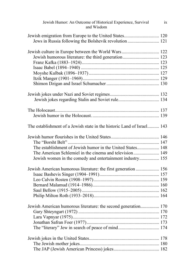| Jewish Humor: An Outcome of Historical Experience, Survival<br>and Wisdom | ix |
|---------------------------------------------------------------------------|----|
|                                                                           |    |
| Jews in Russia following the Bolshevik revolution  121                    |    |
| Jewish culture in Europe between the World Wars 122                       |    |
| Jewish humorous literature: the third generation 123                      |    |
|                                                                           |    |
|                                                                           |    |
|                                                                           |    |
|                                                                           |    |
|                                                                           |    |
|                                                                           |    |
|                                                                           |    |
|                                                                           |    |
|                                                                           |    |
| The establishment of a Jewish state in the historic Land of Israel 143    |    |
|                                                                           |    |
|                                                                           |    |
| The establishment of Jewish humor in the United States 148                |    |
| The American Schlemiel in the cinema and television 149                   |    |
| Jewish women in the comedy and entertainment industry 155                 |    |
| Jewish American humorous literature: the first generation  156            |    |
|                                                                           |    |
|                                                                           |    |
|                                                                           |    |
|                                                                           |    |
|                                                                           |    |
| Jewish American humorous literature: the second generation 170            |    |
|                                                                           |    |
|                                                                           |    |
|                                                                           |    |
|                                                                           |    |
|                                                                           |    |
|                                                                           |    |
|                                                                           |    |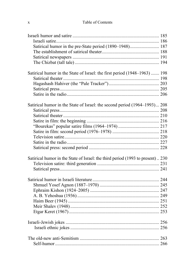#### Table of Contents

| Satirical humor in the pre-State period (1890-1948) 187                        |  |
|--------------------------------------------------------------------------------|--|
|                                                                                |  |
|                                                                                |  |
|                                                                                |  |
|                                                                                |  |
| Satirical humor in the State of Israel: the first period (1948-1963)  198      |  |
|                                                                                |  |
|                                                                                |  |
|                                                                                |  |
|                                                                                |  |
|                                                                                |  |
| Satirical humor in the State of Israel: the second period (1964-1993) 208      |  |
|                                                                                |  |
|                                                                                |  |
|                                                                                |  |
|                                                                                |  |
|                                                                                |  |
|                                                                                |  |
|                                                                                |  |
|                                                                                |  |
|                                                                                |  |
| Satirical humor in the State of Israel: the third period (1993 to present) 230 |  |
|                                                                                |  |
|                                                                                |  |
|                                                                                |  |
|                                                                                |  |
|                                                                                |  |
|                                                                                |  |
|                                                                                |  |
|                                                                                |  |
|                                                                                |  |
|                                                                                |  |
|                                                                                |  |
|                                                                                |  |
|                                                                                |  |
|                                                                                |  |
|                                                                                |  |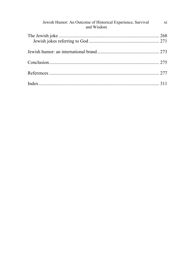| Jewish Humor: An Outcome of Historical Experience, Survival xi<br>and Wisdom |  |
|------------------------------------------------------------------------------|--|
|                                                                              |  |
|                                                                              |  |
|                                                                              |  |
|                                                                              |  |
|                                                                              |  |
|                                                                              |  |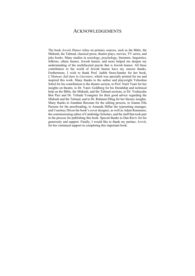### ACKNOWLEDGEMENTS

The book *Jewish Humor* relies on primary sources, such as the Bible, the Midrash, the Talmud, classical prose, theatre plays, movies, TV series, and joke books. Many studies in sociology, psychology, literature, linguistics, folklore, ethnic humor, Jewish humor, and more helped me deepen my understanding of the multifaceted puzzle that is Jewish humor. All these contributors to the world of Jewish humor have my sincere thanks. Furthermore, I wish to thank Prof. Judith Stora-Sandor for her book, *L'Humour Juif dans la Literature*, which was specially printed for me and inspired this work. Many thanks to the author and playwright Yehoshua Sobol for his contribution to the theatre section, to Prof. Nurit Yaari for her insights on theatre, to Dr. Yaniv Goldberg for his friendship and technical help on the Bible, the Midrash, and the Talmud sections, to Dr. Yeshayahu Ben Pazi and Dr. Yehuda Youngster for their good advice regarding the Midrash and the Talmud, and to Dr. Ruhama Elbag for her literary insights. Many thanks to Jonathan Boxman for the editing process, to Joanne Ella Parsons for the proofreading, to Amanda Millar the typesetting manager, and Courtney Dixon the book's cover designer, as well as Adam Rummens, the commissioning editor of Cambridge Scholars, and the staff that took part in the process for publishing this book. Special thanks to Dan Raviv for his generosity and support. Finally, I would like to thank my partner, Avivit, for her continued support in completing this important book.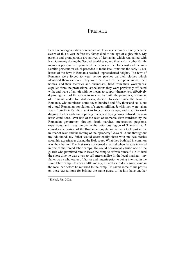## **PREFACE**

I am a second-generation descendant of Holocaust survivors. I only became aware of this a year before my father died at the age of eighty-nine. My parents and grandparents are natives of Romania, which was allied with Nazi Germany during the Second World War, and they and my other family members personally experienced the events of the Holocaust and the anti-Semitic persecution which preceded it. In the late 1930s and the early 1940s, hatred of the Jews in Romania reached unprecedented heights. The Jews of Romania were forced to wear yellow patches on their clothes which identified them as Jews. They were deprived of their possessions, their homes, and their factories and businesses; fired from their workplaces; expelled from the professional associations they were previously affiliated with; and were often left with no means to support themselves, effectively depriving them of the means to survive. In 1941, the pro-axis government of Romania under Ion Antonescu, decided to exterminate the Jews of Romania, who numbered some seven hundred and fifty thousand souls out of a total Romanian population of sixteen million. Jewish men were taken away from their families, sent to forced labor camps, and made to work digging ditches and canals, paving roads, and laying down railroad tracks in harsh conditions. Over half of the Jews of Romania were murdered by the Romanian government through death marches, orchestrated pogroms, expulsions, and mass murder in the notorious region of Transnistria. A considerable portion of the Romanian population actively took part in the murder of Jews and the looting of their property.<sup>1</sup> As a child and throughout my adulthood, my father would occasionally share with me two stories about his experiences during the Holocaust. What they both had in common was their humor. The first story concerned a period when he was interned in one of the forced labor camps. He would occasionally bribe one of the guards who permitted him to leave the camp to refresh himself. He utilized the short time he was given to sell merchandise in the local markets––my father was a wholesaler of fabrics and lingerie prior to being interned in the slave labor camp––to earn a little money, as well as to drink some wine in the local bar before he returned to the camp. He saved some of his profits on these expeditions for bribing the same guard to let him have another

 $<sup>1</sup>$  Enchel, Jan. 2002.</sup>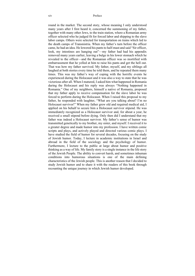round in the market. The second story, whose meaning I only understood many years after I first heard it, concerned the summoning of my father, together with many other Jews, to the train station, where a Romanian army officer selected who he judged fit for forced labor and shipping to the slave labor camps. Others were selected for transportation on trains which led to the death camps of Transnistria. When my father's turn before the officer came, he had an idea. He lowered his pants to half-mast and said "Sir officer, look, my intestines are hanging out"––my father had had his appendix removed many years earlier, leaving a bulge in his lower stomach which he revealed to the officer––and the Romanian officer was so mortified with embarrassment that he yelled at him to raise his pants and get the hell out. That was how my father survived. My father, myself, and my siblings all laughed at both stories every time he told them, and he repeated them many times. This was my father's way of coping with the horrific events he experienced during the Holocaust and it was also a way to state that he was victorious after all. When I matured, I asked him what happened in Romania during the Holocaust and his reply was always "Nothing happened in Romania." One of my neighbors, himself a native of Romania, proposed that my father apply to receive compensation for the slave labor he was forced to perform during the Holocaust. When I raised this proposal to my father, he responded with laughter, "What are you talking about? I'm no Holocaust survivor!" When my father grew old and required medical aid, I applied on his behalf to secure him a Holocaust survivor stipend. He was immediately recognized as a Holocaust survivor and, for about a year, he received a small stipend before dying. Only then did I understand that my father was indeed a Holocaust survivor. My father's sense of humor was transmitted genetically to my brother, my sister, and myself. I received it to a greater degree and made humor into my profession. I have written comic scripts and plays, and actively played and directed various comic plays. I have studied the field of humor for several decades, focusing on the study of Jewish humor. Today, I lecture in academic institutions in Israel and abroad in the field of the sociology and the psychology of humor. Furthermore, I lecture to the public at large about humor and positive thinking as a way of life. My family story is a single instance in the life story of the Jewish People. The ability to convert harsh, and sometimes inhuman conditions into humorous situations is one of the main defining characteristics of the Jewish people. This is another reason that I decided to study Jewish humor and to share it with the readers of this book through recounting the unique journey in which Jewish humor developed.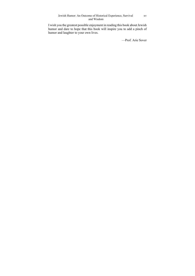I wish you the greatest possible enjoyment in reading this book about Jewish humor and dare to hope that this book will inspire you to add a pinch of humor and laughter to your own lives.

—Prof. Arie Sover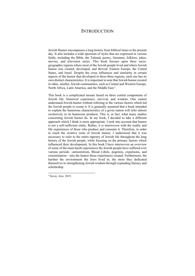# **INTRODUCTION**

Jewish Humor encompasses a long history from biblical times to the present day. It also includes a wide spectrum of styles that are expressed in various fields, including the Bible, the Talmud, poetry, literature, folklore, jokes, movies, and television series. This book focuses upon three sociogeographic regions where most of the Jewish people lived and where Jewish humor was created, developed, and thrived: Eastern Europe, the United States, and Israel. Despite the cross influences and similarity in certain aspects of the humor that developed in these three regions, each one has its own distinct characteristics. It is important to note that Jewish humor existed in other, smaller, Jewish communities, such as Central and Western Europe, North Africa, Latin America, and the Middle East.<sup>2</sup>

This book is a complicated mosaic based on three central components of Jewish life: historical experience, survival, and wisdom. One cannot understand Jewish humor without referring to the various factors which led the Jewish people to create it. It is generally assumed that a book intended to explain the humorous characteristics of a given nation will refer almost exclusively to its humorous products. This is, in fact, what many studies concerning Jewish humor do. In my book, I decided to take a different approach which I think is more appropriate. I took into account that humor is not a self-sufficient entity. Rather, it is interwoven with the reality and life experiences of those who produce and consume it. Therefore, in order to reach the creative roots of Jewish humor, I understood that it was necessary to refer to the entire tapestry of Jewish life throughout the long history of the Jewish people, while focusing on the primary factors which influenced their development. In this book I have interwoven an overview of some of the main harsh experiences the Jewish people have suffered over various periods––antisemitism, Blood Libels, pogroms, expulsions, and extermination––into the humor these experiences created. Furthermore, the harsher the environment the Jews lived in, the more they dedicated themselves to strengthening Jewish wisdom through expanding literacy and scholarship.

<sup>2</sup> Sover, Arie. 2015.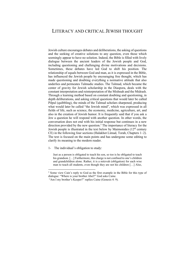# LITERACY AND CRITICAL JEWISH THOUGHT

Jewish culture encourages debates and deliberations, the asking of questions and the seeking of creative solutions to any question, even those which seemingly appear to have no solution. Indeed, the Bible is filled with lively dialogue between the ancient leaders of the Jewish people and God, including questioning and challenging divine motivations and decisions. Sometimes, these debates have led God to shift his position. The relationship of equals between God and man, as it is expressed in the Bible, has influenced the Jewish people by encouraging free thought, which has made questioning and doubting everything a normative attitude that also underlies and permeates Talmudic studies. The Talmud, which became the center of gravity for Jewish scholarship in the Diaspora, deals with the constant interpretation and reinterpretation of the Mishnah and the Midrash. Through a learning method based on constant doubting and questioning, in depth deliberations, and asking critical questions that would later be called Pilpul (quibbling), the minds of the Talmud scholars sharpened, producing what would later be called "the Jewish mind", which was expressed in all fields of life, such as science, the economy, medicine, agriculture, art, and also in the creation of Jewish humor. It is frequently said that if you ask a Jew a question he will respond with another question. In other words, the conversation does not end with his initial response but continues in a new direction provided by the new question.<sup>3</sup> The importance of literacy for the Jewish people is illustrated in the text below by Maimonides  $(12<sup>th</sup>$  century CE) in the following four sections (Halakhot Limud, Torah, Chapters 1–2). The text is focused on the main points and has undergone some editing to clarify its meaning to the modern reader.

1- The individual's obligation to study:

Just as a person is obligated to teach his son, so too is he obligated to teach his grandson. [...] Furthermore, this charge is not confined to one's children and grandchildren alone. Rather, it is a mitzvah (obligation) for each wise man to teach all students, even though they are not his children […] Also,

<sup>&</sup>lt;sup>3</sup> Some view Cain's reply to God as the first example in the Bible for this type of dialogue: "Where is your brother Abel?" God asks Caine.

 <sup>&</sup>quot;Am I my brother's Keeper?" replies Caine (Genesis 4: 9).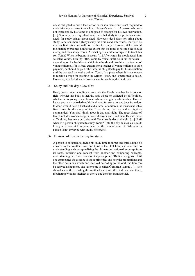one is obligated to hire a teacher for one's son, while one is not required to undertake any expense to teach a colleague's son. […] A person who was not instructed by his father is obligated to arrange for his own instruction. [...] Similarly, in every place, one finds that study takes precedence over deed, for study brings about deed. However, deed does not bring about study. A person should always study the Torah and, afterwards, marry. If he marries first, his mind will not be free for study. However, if his natural inclination overcomes him to the extent that his mind is not free, he should marry, and then study Torah. At what age is a father obligated to teach his son Torah? When he begins to speak. […] Afterwards, he should teach him selected verses, little by little, verse by verse, until he is six or seven–– depending on his health––at which time he should take him to a teacher of young children. If it is local custom for a teacher of young children to take payment, he should be paid. The father is obligated to pay for his instruction until he can read the entire written Torah. In a place where it is customary to receive a wage for teaching the written Torah, one is permitted to do so. However, it is forbidden to take a wage for teaching the Oral Law.

#### 2- Study until the day a Jew dies:

Every Jewish man is obligated to study the Torah, whether he is poor or rich, whether his body is healthy and whole or afflicted by difficulties, whether he is young or an old man whose strength has diminished. Even if he is a poor man who derives his livelihood from charity and begs from door to door, even if he is a husband and a father of children, he must establish a fixed time for the study of the Torah during the day and at night as commanded: You shall think about it day and night. The great Sages of Israel included wood choppers, water drawers, and blind men. Despite these difficulties, they were occupied with Torah study day and night. […] Until when is a person obligated to study Torah? Until the day he dies, as is said: Lest you remove it from your heart, all the days of your life. Whenever a person is not involved with study, he forgets.

#### 3- Division of time in the day for study:

A person is obligated to divide his study time in three: one third should be devoted to the Written Law; one third to the Oral Law; and one third to understanding and conceptualizing the ultimate derivation of a concept from its roots, inferring one concept from another and comparing concepts, understanding the Torah based on the principles of Biblical exegesis. Until one appreciates the essence of those principles and how the prohibitions and the other decisions which one received according to the oral tradition can be derived using them. The latter topic is called Gemara (Talmud). […] He should spend three reading the Written Law; three, the Oral Law; and three, meditating with his intellect to derive one concept from another.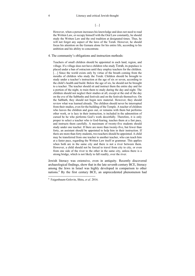$[...]$ 

However, when a person increases his knowledge and does not need to read the Written Law, or occupy himself with the Oral Law constantly, he should study the Written Law and the oral tradition at designated times. Thus, he will not forget any aspect of the laws of the Torah. However, he should focus his attention on the Gemara alone for his entire life, according to his ambition and his ability to concentrate.

#### 4. The community's obligations and instruction methods:

Teachers of small children should be appointed in each land, region, and village. If a village does not have children who study Torah, its populace is placed under a ban of ostracism until they employ teachers for the children. [...] Since the world exists only by virtue of the breath coming from the mouths of children who study the Torah. Children should be brought to study under a teacher's instruction at the age of six or seven, according to the child's health and build. Below the age of six, he should not be brought to a teacher. The teacher should sit and instruct them the entire day and for a portion of the night, to train them to study during the day and night. The children should not neglect their studies at all, except at the end of the day on the eve of the Sabbaths and festivals and on the festivals themselves. On the Sabbath, they should not begin new material. However, they should review what was learned already. The children should never be interrupted from their studies, even for the building of the Temple. A teacher of children who leaves the children and goes out, or remains with them but performs other work, or is lazy in their instruction, is included in the admonition of cursed be he who performs God's work deceitfully. Therefore, it is only proper to select a teacher who is God-fearing, teaches them at a fast pace, and instructs them carefully. A maximum of twenty-five students should study under one teacher. If there are more than twenty-five, but fewer than forty, an assistant should be appointed to help him in their instruction. If there are more than forty students, two teachers should be appointed. A child may be transferred from one teacher to another teacher, who can teach him at a faster pace, regarding the Written Law itself or grammar. This applies when both are in the same city and there is not a river between them. However, a child should not be forced to travel from city to city, or even from one side of the river to the other in the same city, unless there is a strong bridge, which is not likely to fall readily, over the river.

Jewish literacy was extensive, even in antiquity. Recently discovered archaeological findings, show that in the late seventh century BCE, literacy among the Jews in Israel was highly developed in comparison to other nations.4 By the first century BCE, an unprecedented phenomenon had

<sup>4</sup> Faigenbaum-Golovin, Shira, *et al*. 2016.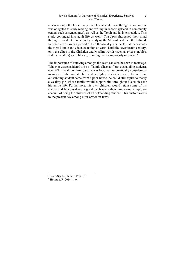arisen amongst the Jews. Every male Jewish child from the age of four or five was obligated to study reading and writing in schools (placed in community centers such as synagogues), as well as the Torah and its interpretation. This study continued into adult life as well.<sup>5</sup> The Jews sharpened their mind through critical interpretation, by studying the Midrash and then the Talmud. In other words, over a period of two thousand years the Jewish nation was the most literate and educated nation on earth. Until the seventeenth century, only the elites in the Christian and Muslim worlds (such as priests, nobles, and the wealthy) were literate, granting them a monopoly on power.<sup>6</sup>

The importance of studying amongst the Jews can also be seen in marriage. Whoever was considered to be a "Talmid Chacham" (an outstanding student), even if his wealth or family status was low, was automatically considered a member of the social elite and a highly desirable catch. Even if an outstanding student came from a poor house, he could still aspire to marry a wealthy girl whose family would support him throughout his studies for his entire life. Furthermore, his own children would retain some of his stature and be considered a good catch when their time came, simply on account of being the children of an outstanding student. This custom exists to the present day among ultra-orthodox Jews.

<sup>5</sup> Stora-Sandor, Judith. 1984: 35.

<sup>6</sup> Houston, R. 2014: 1–9.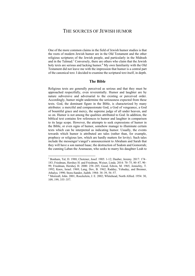### THE SOURCES OF JEWISH HUMOR

One of the more common claims in the field of Jewish humor studies is that the roots of modern Jewish humor are in the Old Testament and the other religious scriptures of the Jewish people, and particularly in the Midrash and in the Talmud.<sup>7</sup> Conversely, there are others who claim that the Jewish holy texts are serious and lacking humor.<sup>8</sup> My own familiarity with the Old Testament did not leave me with the impression that humor is a central part of the canonical text. I decided to examine the scriptural text itself, in depth.

#### **The Bible**

Religious texts are generally perceived as serious and that they must be approached respectfully, even reverentially. Humor and laughter are by nature subversive and adversarial to the existing or perceived order. Accordingly, humor might undermine the seriousness expected from these texts. God, the dominant figure in the Bible, is characterized by many attributes: a merciful and compassionate God, a God of vengeance, a God of bountiful grace and mercy, the supreme judge of all under heaven, and so on. Humor is not among the qualities attributed to God. In addition, the biblical text contains few references to humor and laughter in comparison to its large scope. However, the attempts to seek expressions of humor in the Bible, or even signs of humor, somehow manage to illuminate certain texts which can be interpreted as indicating humor. Usually, the events towards which humor is attributed are tales (rather than, for example, prophecy or religious law, which are hardly matters for levity). Such tales include the messenger's/angel's announcement to Abraham and Sarah that they will have a son named Isaac; the destruction of Sodom and Gomorrah; the cunning Laban the Aramaean, who seeks to marry his daughter Leah to

<sup>7</sup> Bonham, Tal, D. 1988; Chotzner, Josef. 1905: 1-12; Dauber, Jeremy. 2017: 174– 183; Friedman, Hershey H. and Friedman, Weiser, Linda. 2014: 70–75, 80–87, 90– 99; Friedman, Hershey H. 2000: 258–285; Good, Edwin, M. 1965; Jemielity, T. 1992; Knox, Israel. 1969; Lang, Dov, B. 1962; Radday, Yehuday, and Brenner, Athalya. 1990; Stora-Sandor, Judith. 1984: 38–39, 56–57.

<sup>8</sup> Morreall, John. 2001; Roeckelein, J. E. 2002; Whitehead, North Alfred. 1954: 30, 109, 199, 355–357.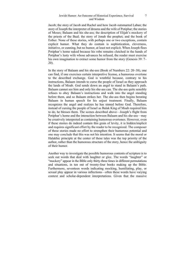Jacob; the story of Jacob and Rachel and how Jacob outsmarted Laban; the story of Joseph the interpreter of dreams and the wife of Potiphar; the stories of Moses; Balaam and his she-ass; the description of Elijah's mockery of the priests of the Baal; the story of Jonah the prophet; and the book of Esther. None of these stories, with perhaps one or two exceptions, contain explicit humor. What they do contain is sophistication, cleverness, initiative, or cunning, but no humor, at least not explicit. When Joseph flees Potiphar's home naked because his robe remains clutched in the hands of Potiphar's lusty wife whose advances he refused, the reader must exercise his own imagination to extract some humor from the story (Genesis 39: 7– 20).

In the story of Balaam and his she-ass (Book of Numbers 22: 20–38), one can find, if one exercises certain interpretive license, a humorous overtone to the described exchange. God is wrathful because, contrary to his instructions, Balaam intends to curse the people of Israel as they approach the lands of Moab. God sends down an angel to stand in Balaam's path. Balaam cannot see him and only his she-ass can. The she-ass quite sensibly refuses to obey Balaam's instructions and walk into the angel standing before them, and so Balaam strikes her. The she-ass then begins berating Balaam in human speech for his unjust treatment. Finally, Balaam recognizes the angel and realizes he has sinned before God. Therefore, instead of cursing the people of Israel as Balak King of Moab required him to do, he blesses them. The scenes described above––Joseph's flight from Potiphar's home and the interaction between Balaam and his she-ass––may be creatively interpreted as containing humorous overtones. However, even if these stories do indeed contain this grain of levity, it is hidden/implicit and requires significant effort by the reader to be recognized. The composer of these stories made no effort to strengthen their humorous potential and one may conclude that this was not his intention. It seems that the moral or Halakhic principle at the center of these tales was the top priority of the author, rather than the humorous structure of the story, hence the ambiguity of their humor.

Another way to investigate the possible humorous contents of scripture is to seek out words that deal with laughter or glee. The words "laughter" or "mockery" appear in the Bible only thirty-three times in different permutations and situations, in ten out of twenty-four books making up the Bible. Furthermore, seventeen words indicating mocking, humiliating, play, or sexual play appear in various inflections––often these words have varying context and scholar-dependent interpretations. Given that the massive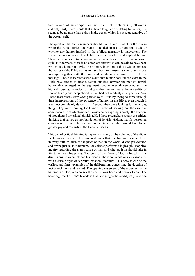twenty-four volume composition that is the Bible contains 306,758 words, and only thirty-three words that indicate laughter or relating to humor, this seems to be no more than a drop in the ocean, which is not representative of the ocean itself.

The question that the researchers should have asked is whether those who wrote the Bible stories and verses intended to use a humorous style or whether any humor implied in the biblical narrative is inadvertent. The answer seems obvious. The Bible contains no clear and explicit humor. There does not seem to be any intent by the authors to write in a humorous style. Furthermore, there is no complete text which can be said to have been written in a humorous style. The primary intention of those who composed the verses of the Bible seems to have been to transmit a very grave moral message, together with the laws and regulations required to fulfill that message. Those researchers who claim that humor does indeed exist in the Bible have tended to draw a continuous line between the modern Jewish humor that emerged in the eighteenth and nineteenth centuries and the biblical sources, in order to indicate that humor was a latent quality of Jewish history and peoplehood, which had not suddenly emerged *ex nihilo*. These researchers were wrong twice over. First, by trying to force through their interpretations of the existence of humor on the Bible, even though it is almost completely devoid of it. Second, they were looking for the wrong thing. They were looking for humor instead of seeking out the essential components from which modern Jewish humor sprung, namely, the freedom of thought and the critical thinking. Had those researchers sought the critical thinking that served as the foundation of Jewish wisdom, that first essential component of Jewish humor, within the Bible then they would have found greater joy and rewards in the Book of Books.

This sort of critical thinking is apparent in many of the volumes of the Bible. Ecclesiastes deals with the universal issues that man has long contemplated in every culture, such as the place of man in the world, divine providence, and divine justice. Furthermore, Ecclesiastes performs a logical philosophical inquiry regarding the significance of man and what path he should take in life to achieve happiness. The core of the Book of Job is based on the discussions between Job and his friends. These conversations are associated with a certain style of scriptural wisdom literature. This book is one of the earliest and finest examples of the deliberations concerning the doctrine of just punishment and reward. The opening statement of the argument is the bitterness of Job, who curses the day he was born and desires to die. The basic argument of Job's friends is that God judges the world justly, and one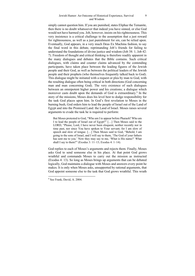simply cannot question him. If you are punished, states Eliphaz the Temanite, then there is no doubt whatsoever that indeed you have sinned, or else God would not have harmed you. Job, however, insists on his righteousness. This very insistence is a critical challenge to the assumption that a just reward for righteousness, as well as a just punishment for sin, can be relied upon. Eventually, God appears, in a very much Deus Ex Machina fashion, to say the final word in this debate, reprimanding Job's friends for failing to understand the foundations of divine justice and wisdom (Job 38: 1; Job 42: 7). Freedom of thought and critical thinking is therefore readily apparent in the many dialogues and debates that the Bible contains. Such critical dialogues, with claims and counter claims advanced by the contending participants, have taken place between the leading figures of the Jewish people and their God, as well as between the political leaders of the Jewish people and their prophets (who themselves frequently talked back to God). This dialogue might be initiated with a request or plea by man to God, with the resulting dialogue often being critical in both directions (God concerning man and man concerning God). The very existence of such dialogues between an omnipotent higher power and his creations; a dialogue which moreover casts doubt upon the demands of God is extraordinary.<sup>9</sup> In the story of the missions, Moses does his level best to dodge responsibility for the task God places upon him. In God's first revelation to Moses in the burning bush, God orders him to lead the people of Israel out of the Land of Egypt and into the Promised Land: the Land of Israel. Moses raises several arguments to evade the task he is required to perform:

But Moses protested to God, "Who am I to appear before Pharaoh? Who am I to lead the people of Israel out of Egypt?" […] Then Moses said to the LORD, "Please, Lord, I have never been eloquent, neither recently nor in time past, nor since You have spoken to Your servant; for I am slow of speech and slow of tongue. […] Then Moses said to God, "Behold, I am going to the sons of Israel, and I will say to them, 'The God of your fathers has sent me to you.' Now they may say to me, 'What is His name?' What shall I say to them?" (Exodus 3: 11–13; Exodus 4: 1–14).

God replies to each of Moses's arguments and rejects them. Finally, Moses asks God to send someone else in his place. At that point God grows wrathful and commands Moses to carry out the mission as instructed (Exodus 4: 13). So long as Moses brings up arguments that can be debated logically, God maintains a dialogue with Moses and answers every point he makes. It is only when Moses asks, unsupported by rational arguments, that God appoint someone else to the task that God grows wrathful. This wrath

<sup>9</sup>

<sup>9</sup> See Frank, David, A. 2004.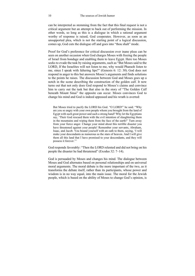can be interpreted as stemming from the fact that this final request is not a critical argument but an attempt to back out of performing the mission. In other words, so long as this is a dialogue in which a rational argument worthy of response is raised, God cooperates. However, as soon as an unsupported plea, which is not the starting point of a logical discussion, comes up, God cuts the dialogue off and goes into "thou shalt" mode.

Proof for God's preference for critical discussion over inane pleas can be seen on another occasion when God charges Moses with freeing the people of Israel from bondage and enabling them to leave Egypt. Here too Moses seeks to evade the task by raising arguments, such as "But Moses said to the LORD, If the Israelites will not listen to me, why would Pharaoh listen to me, since I speak with faltering lips?" (Genesis 6: 12: 30). God does not respond in anger to this but answers Moses's arguments and finds solutions to the points he raises. The discussion between God and Moses goes up a notch in the scene describing the construction of the golden calf. It now turns out that not only does God respond to Moses's claims and convince him to carry out the task but that also in the story of "The Golden Calf beneath Mount Sinai" the opposite can occur. Moses convinces God to change his mind and God is indeed appeased and his wrath is averted:

But Moses tried to pacify the LORD his God. "O LORD!" he said. "Why are you so angry with your own people whom you brought from the land of Egypt with such great power and such a strong hand? Why let the Egyptians say, 'Their God rescued them with the evil intention of slaughtering them in the mountains and wiping them from the face of the earth?' Turn away from your fierce anger. Change your mind about this terrible disaster you have threatened against your people! Remember your servants, Abraham, Isaac, and Jacob. You bound yourself with an oath to them, saying, 'I will make your descendants as numerous as the stars of heaven. And I will give them all this land that I have promised to your descendants, and they will possess it forever.'"

God responds favorably: "Then the LORD relented and did not bring on his people the disaster he had threatened"(Exodus 32: 7–14).

God is persuaded by Moses and changes his mind. The dialogue between Moses and God alternates based on personal relationships and on universal moral arguments. The moral debate is the more important of the two, as it transforms the debate itself, rather than its participants, whose power and wisdom is in no way equal, into the main issue. The moral for the Jewish people, which is based on the ability of Moses to change God's opinion, is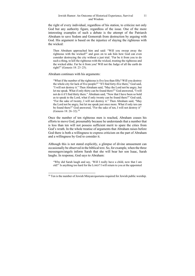the right of every individual, regardless of his station, to criticize not only God but any authority figure, regardless of the issue. One of the more interesting examples of such a debate is the attempt of the Patriarch Abraham to save Sodom and Gomorrah from destruction by arguing with God. His argument is based on the injustice of slaying the righteous with the wicked:

Then Abraham approached him and said: "Will you sweep away the righteous with the wicked?" and goes on to ask him how God can even consider destroying the city without a just trial. "Far be it from you to do such a thing, to kill the righteous with the wicked, treating the righteous and the wicked alike. Far be it from you! Will not the Judge of all the earth do right?" (Genesis 18: 23–25).

Abraham continues with his arguments:

"What if the number of the righteous is five less than fifty? Will you destroy the whole city for lack of five people?" "If I find forty-five there," God said, "I will not destroy it." Then Abraham said, "May the Lord not be angry, but let me speak. What if only thirty can be found there?" God answered, "I will not do it if I find thirty there." Abraham said, "Now that I have been so bold as to speak to the Lord, what if only twenty can be found there?" God said, "For the sake of twenty, I will not destroy it." Then Abraham said, "May the Lord not be angry, but let me speak just once more. What if only ten can be found there?" God answered, "For the sake of ten, I will not destroy it" (Genesis 18: 26–32).10

Once the number of ten righteous men is reached, Abraham ceases his efforts to move God, presumably because he understands that a number that is less than ten will not possess sufficient merit to spare the cities from God's wrath. In the whole treatise of arguments that Abraham raises before God there is both a willingness to express criticism on the part of Abraham and a willingness by God to consider it.

Although this is not stated explicitly, a glimpse of divine amusement can occasionally be observed in the biblical text. So, for example, when the three messengers/angels inform Sarah that she will bear her son Isaac, Sarah laughs. In response, God says to Abraham:

"Why did Sarah laugh and say, 'Will I really have a child, now that I am old?' Is anything too hard for the LORD? I will return to you at the appointed

 $10$  Ten is the number of Jewish Minyan/quorums required for Jewish public worship.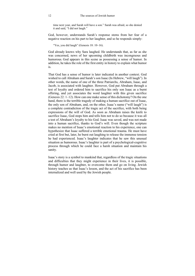time next year, and Sarah will have a son." Sarah was afraid, so she denied it and said, "I did not laugh."

God, however, understands Sarah's response stems from her fear of a negative reaction on his part to her laughter, and so he responds simply:

"Yes, you did laugh" (Genesis 18: 10–16).

God already knows why Sara laughed. He understands that, as far as she was concerned, news of her upcoming childbirth was incongruous and humorous. God appears in this scene as possessing a sense of humor. In addition, he takes the role of the first entity in history to explain what humor is.

That God has a sense of humor is later indicated in another context. God wished to call Abraham and Sarah's son Isaac (In Hebrew, "will laugh"). In other words, the name of one of the three Patriarchs, Abraham, Isaac, and Jacob, is associated with laughter. However, God put Abraham through a test of loyalty and ordered him to sacrifice his only son Isaac as a burnt offering, and yet associates the word laughter with this given sacrifice (Genesis 22: 1–12). How can one make sense of this dichotomy? On the one hand, there is the terrible tragedy of making a human sacrifice out of Isaac, the only son of Abraham, and, on the other, Isaac's name ("will laugh") is a complete contradiction of the tragic act of the sacrifice, with both being expressions of the will of God. As soon as Abraham raises the knife to sacrifice Isaac, God stops him and tells him not to do so because it was all a test of Abraham's loyalty to his God. Isaac was saved, and was not made into a human sacrifice, thanks to God's will. Even though the scripture makes no mention of Isaac's emotional reaction to his experience, one can hypothesize that Isaac suffered a terrible emotional trauma. He must have cried at first but, later, he burst out laughing to release the immense tension he had experienced. Isaac's laughter indicates that he saw this unusual situation as humorous. Isaac's laughter is part of a psychological-cognitive process through which he could face a harsh situation and maintain his sanity.

Isaac's story is a symbol to mankind that, regardless of the tragic situations and difficulties that they might experience in their lives, it is possible, through humor and laughter, to overcome them and go on living. Jewish history teaches us that Isaac's lesson, and the act of his sacrifice has been internalized and well used by the Jewish people.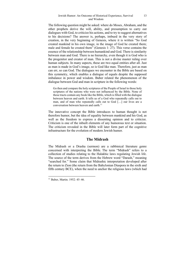The following question might be asked: where do Moses, Abraham, and the other prophets derive the will, ability, and presumption to carry out dialogues with God, to criticize his actions, and to try to suggest alternatives to his decisions? The answer is, perhaps, imbued in the very story of creation, in the very beginning of Genesis, where it is written "So God created mankind in his own image, in the image of God he created them; male and female he created them" (Genesis 1: 27). This verse contains the essence of the relationship between humankind and God. There is similarity between man and God. There is no hierarchy, even though it is God who is the progenitor and creator of man. This is not a divine master ruling over human subjects. In many aspects, these are two equal entities after all. Just as man is made in God's image, so is God like man. Therefore, just as man can err, so can God. The dialogues we encounter in the Bible are based on this symmetry, which enables a dialogue of equals despite the supposed imbalance in power and wisdom. Buber related the phenomenon of the dialogue between God and man in scripture in the following words:

Go then and compare the holy scriptures of the People of Israel to those holy scriptures of the nations who were not influenced by the Bible. None of those tracts contain any book like the Bible, which is filled with the dialogue between heaven and earth. It tells us of a God who repeatedly calls out to man, and of man who repeatedly calls out to God […] our lives are a conversation between heaven and earth.<sup>11</sup>

The innovative concept the Bible introduces to human thought is not therefore humor, but the idea of equality between mankind and his God, as well as the freedom to express a dissenting opinion and to criticize. Criticism is one of the inbuilt elements of any humorous text or situation. The criticism revealed in the Bible will later form part of the cognitive infrastructure for the evolution of modern Jewish humor.

#### **The Midrash**

The Midrash or a Drasha (sermon) are a rabbinical literature genre concerned with interpreting the Bible. The term "Midrash" refers to a collection of studies relating to the Halakhic laws regulating Jewish life. The source of the term derives from the Hebrew word "Darash," meaning "searched for." Some claim that Midrashic interpretation developed after the return to Zion (the return from the Babylonian Diaspora in the sixth and fifth century BCE), when the need to anchor the religious laws (which had

<sup>11</sup> Buber, Martin. 1952: 45–46.